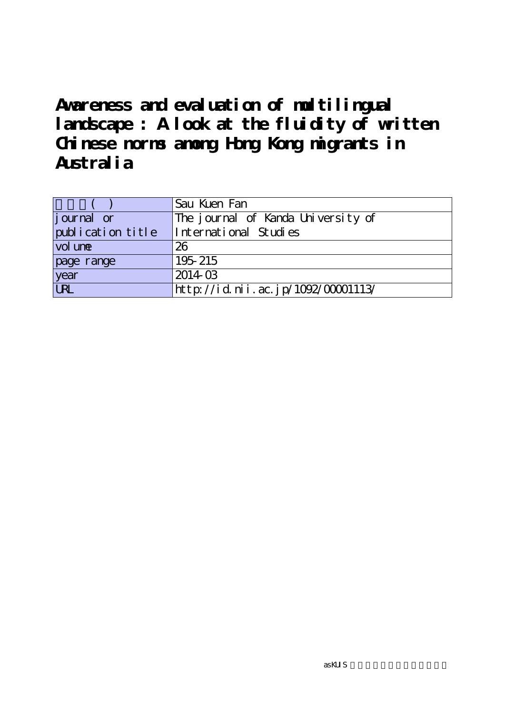|                   | Sau Kuen Fan                       |  |  |
|-------------------|------------------------------------|--|--|
| journal or        | The journal of Kanda University of |  |  |
| publication title | International Studies              |  |  |
| vol une           | 26                                 |  |  |
| page range        | 195 215                            |  |  |
| year              | 201403                             |  |  |
| URL               | http://id.nii.ac.jp/1092/00001113/ |  |  |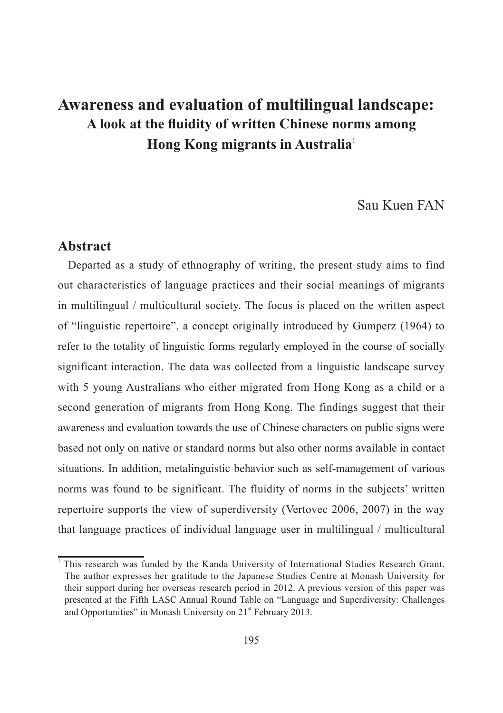# Sau Kuen FAN

### **Abstract**

Departed as a study of ethnography of writing, the present study aims to find out characteristics of language practices and their social meanings of migrants in multilingual / multicultural society. The focus is placed on the written aspect of "linguistic repertoire", a concept originally introduced by Gumperz (1964) to refer to the totality of linguistic forms regularly employed in the course of socially significant interaction. The data was collected from a linguistic landscape survey with 5 young Australians who either migrated from Hong Kong as a child or a second generation of migrants from Hong Kong. The findings suggest that their awareness and evaluation towards the use of Chinese characters on public signs were based not only on native or standard norms but also other norms available in contact situations. In addition, metalinguistic behavior such as self-management of various norms was found to be significant. The fluidity of norms in the subjects' written repertoire supports the view of superdiversity (Vertovec 2006, 2007) in the way that language practices of individual language user in multilingual / multicultural

<sup>&</sup>lt;sup>1</sup> This research was funded by the Kanda University of International Studies Research Grant. The author expresses her gratitude to the Japanese Studies Centre at Monash University for their support during her overseas research period in 2012. A previous version of this paper was presented at the Fifth LASC Annual Round Table on "Language and Superdiversity: Challenges and Opportunities" in Monash University on 21<sup>st</sup> February 2013.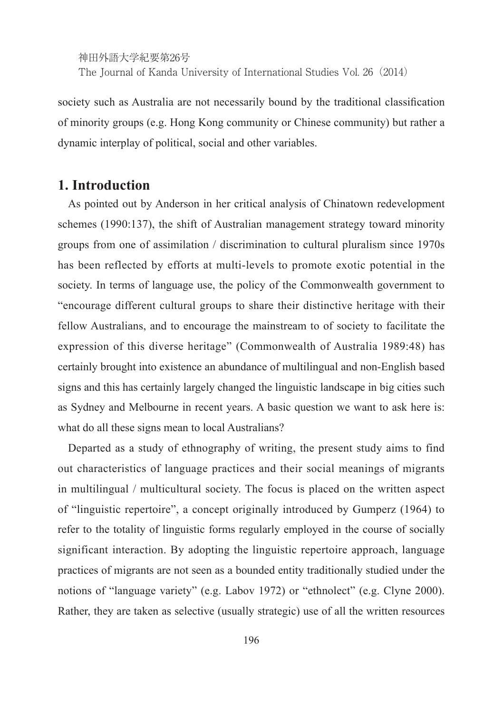society such as Australia are not necessarily bound by the traditional classification of minority groups (e.g. Hong Kong community or Chinese community) but rather a dynamic interplay of political, social and other variables.

### **1. Introduction**

As pointed out by Anderson in her critical analysis of Chinatown redevelopment schemes (1990:137), the shift of Australian management strategy toward minority groups from one of assimilation / discrimination to cultural pluralism since 1970s has been reflected by efforts at multi-levels to promote exotic potential in the society. In terms of language use, the policy of the Commonwealth government to "encourage different cultural groups to share their distinctive heritage with their fellow Australians, and to encourage the mainstream to of society to facilitate the expression of this diverse heritage" (Commonwealth of Australia 1989:48) has certainly brought into existence an abundance of multilingual and non-English based signs and this has certainly largely changed the linguistic landscape in big cities such as Sydney and Melbourne in recent years. A basic question we want to ask here is: what do all these signs mean to local Australians?

Departed as a study of ethnography of writing, the present study aims to find out characteristics of language practices and their social meanings of migrants in multilingual / multicultural society. The focus is placed on the written aspect of "linguistic repertoire", a concept originally introduced by Gumperz (1964) to refer to the totality of linguistic forms regularly employed in the course of socially significant interaction. By adopting the linguistic repertoire approach, language practices of migrants are not seen as a bounded entity traditionally studied under the notions of "language variety" (e.g. Labov 1972) or "ethnolect" (e.g. Clyne 2000). Rather, they are taken as selective (usually strategic) use of all the written resources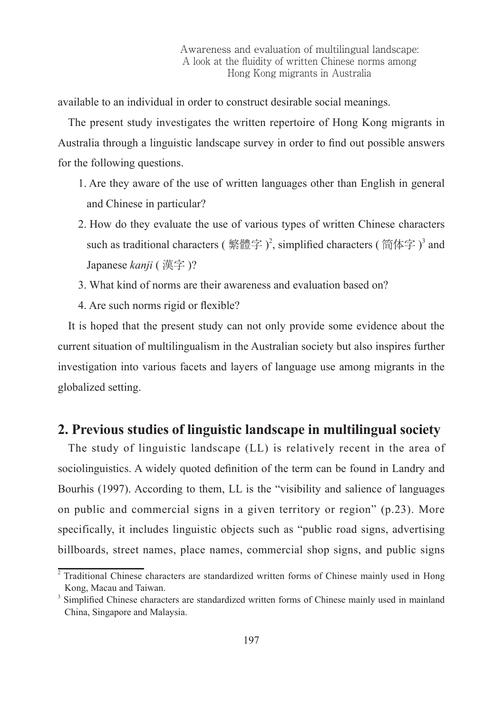available to an individual in order to construct desirable social meanings.

The present study investigates the written repertoire of Hong Kong migrants in Australia through a linguistic landscape survey in order to find out possible answers for the following questions.

- 1. Are they aware of the use of written languages other than English in general and Chinese in particular?
- 2. How do they evaluate the use of various types of written Chinese characters such as traditional characters ( 繁體字 )<sup>2</sup>, simplified characters ( 简体字 )<sup>3</sup> and Japanese *kanji* ( 漢字 )?
- 3. What kind of norms are their awareness and evaluation based on?
- 4. Are such norms rigid or flexible?

It is hoped that the present study can not only provide some evidence about the current situation of multilingualism in the Australian society but also inspires further investigation into various facets and layers of language use among migrants in the globalized setting.

# **2. Previous studies of linguistic landscape in multilingual society**

The study of linguistic landscape (LL) is relatively recent in the area of sociolinguistics. A widely quoted definition of the term can be found in Landry and Bourhis (1997). According to them, LL is the "visibility and salience of languages on public and commercial signs in a given territory or region" (p.23). More specifically, it includes linguistic objects such as "public road signs, advertising billboards, street names, place names, commercial shop signs, and public signs

<sup>&</sup>lt;sup>2</sup> Traditional Chinese characters are standardized written forms of Chinese mainly used in Hong Kong, Macau and Taiwan.

<sup>&</sup>lt;sup>3</sup> Simplified Chinese characters are standardized written forms of Chinese mainly used in mainland China, Singapore and Malaysia.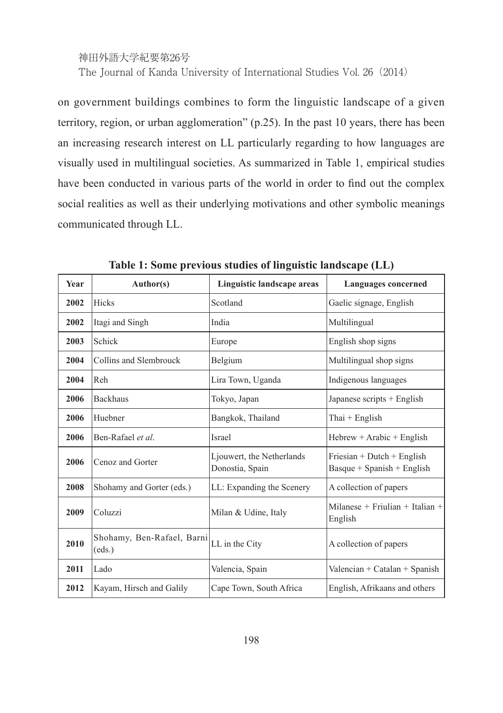on government buildings combines to form the linguistic landscape of a given territory, region, or urban agglomeration" (p.25). In the past 10 years, there has been an increasing research interest on LL particularly regarding to how languages are visually used in multilingual societies. As summarized in Table 1, empirical studies have been conducted in various parts of the world in order to find out the complex social realities as well as their underlying motivations and other symbolic meanings communicated through LL.

| Year | Author(s)                            | Linguistic landscape areas                   | <b>Languages</b> concerned                                   |  |
|------|--------------------------------------|----------------------------------------------|--------------------------------------------------------------|--|
| 2002 | <b>Hicks</b>                         | Scotland                                     | Gaelic signage, English                                      |  |
| 2002 | Itagi and Singh                      | India                                        | Multilingual                                                 |  |
| 2003 | Schick                               | Europe                                       | English shop signs                                           |  |
| 2004 | Collins and Slembrouck               | Belgium                                      | Multilingual shop signs                                      |  |
| 2004 | Reh                                  | Lira Town, Uganda                            | Indigenous languages                                         |  |
| 2006 | <b>Backhaus</b>                      | Tokyo, Japan                                 | Japanese scripts $+$ English                                 |  |
| 2006 | Huebner                              | Bangkok, Thailand                            | Thai + English                                               |  |
| 2006 | Ben-Rafael et al.                    | <b>Israel</b>                                | $Hebrew + Arabic + English$                                  |  |
| 2006 | Cenoz and Gorter                     | Ljouwert, the Netherlands<br>Donostia, Spain | $Friesian + Dutch + English$<br>$Basque + Spanish + English$ |  |
| 2008 | Shohamy and Gorter (eds.)            | LL: Expanding the Scenery                    | A collection of papers                                       |  |
| 2009 | Coluzzi                              | Milan & Udine, Italy                         | Milanese + Friulian + Italian +<br>English                   |  |
| 2010 | Shohamy, Ben-Rafael, Barni<br>(eds.) | LL in the City                               | A collection of papers                                       |  |
| 2011 | Lado                                 | Valencia, Spain                              | Valencian + Catalan + Spanish                                |  |
| 2012 | Kayam, Hirsch and Galily             | Cape Town, South Africa                      | English, Afrikaans and others                                |  |

**Table 1: Some previous studies of linguistic landscape (LL)**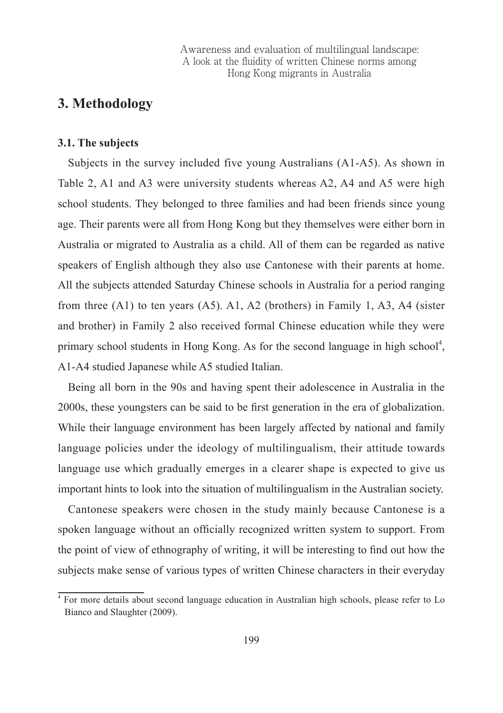# **3. Methodology**

#### **3.1. The subjects**

Subjects in the survey included five young Australians (A1-A5). As shown in Table 2, A1 and A3 were university students whereas A2, A4 and A5 were high school students. They belonged to three families and had been friends since young age. Their parents were all from Hong Kong but they themselves were either born in Australia or migrated to Australia as a child. All of them can be regarded as native speakers of English although they also use Cantonese with their parents at home. All the subjects attended Saturday Chinese schools in Australia for a period ranging from three (A1) to ten years (A5). A1, A2 (brothers) in Family 1, A3, A4 (sister and brother) in Family 2 also received formal Chinese education while they were primary school students in Hong Kong. As for the second language in high school<sup>4</sup>, A1-A4 studied Japanese while A5 studied Italian.

Being all born in the 90s and having spent their adolescence in Australia in the 2000s, these youngsters can be said to be first generation in the era of globalization. While their language environment has been largely affected by national and family language policies under the ideology of multilingualism, their attitude towards language use which gradually emerges in a clearer shape is expected to give us important hints to look into the situation of multilingualism in the Australian society.

Cantonese speakers were chosen in the study mainly because Cantonese is a spoken language without an officially recognized written system to support. From the point of view of ethnography of writing, it will be interesting to find out how the subjects make sense of various types of written Chinese characters in their everyday

<sup>4</sup> For more details about second language education in Australian high schools, please refer to Lo Bianco and Slaughter (2009).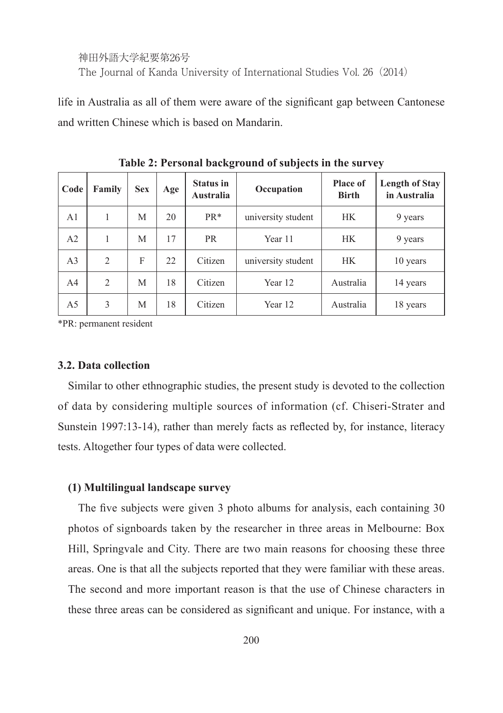life in Australia as all of them were aware of the significant gap between Cantonese and written Chinese which is based on Mandarin.

| Code           | Family         | <b>Sex</b> | Age | <b>Status in</b><br>Australia | Occupation         | <b>Place of</b><br><b>Birth</b> | Length of Stay<br>in Australia |
|----------------|----------------|------------|-----|-------------------------------|--------------------|---------------------------------|--------------------------------|
| A <sub>1</sub> |                | M          | 20  | PR <sup>*</sup>               | university student | <b>HK</b>                       | 9 years                        |
| A2             |                | М          | 17  | <b>PR</b>                     | Year 11            | <b>HK</b>                       | 9 years                        |
| A <sub>3</sub> | $\overline{c}$ | F          | 22  | Citizen                       | university student | <b>HK</b>                       | 10 years                       |
| A <sub>4</sub> | $\overline{c}$ | M          | 18  | Citizen                       | Year 12            | Australia                       | 14 years                       |
| A5             | 3              | М          | 18  | Citizen                       | Year 12            | Australia                       | 18 years                       |

**Table 2: Personal background of subjects in the survey**

\*PR: permanent resident

#### **3.2. Data collection**

Similar to other ethnographic studies, the present study is devoted to the collection of data by considering multiple sources of information (cf. Chiseri-Strater and Sunstein 1997:13-14), rather than merely facts as reflected by, for instance, literacy tests. Altogether four types of data were collected.

#### **(1) Multilingual landscape survey**

The five subjects were given 3 photo albums for analysis, each containing 30 photos of signboards taken by the researcher in three areas in Melbourne: Box Hill, Springvale and City. There are two main reasons for choosing these three areas. One is that all the subjects reported that they were familiar with these areas. The second and more important reason is that the use of Chinese characters in these three areas can be considered as significant and unique. For instance, with a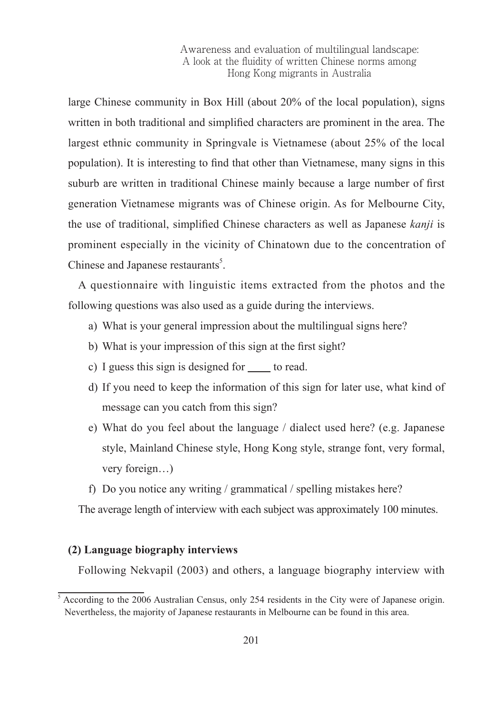large Chinese community in Box Hill (about 20% of the local population), signs written in both traditional and simplified characters are prominent in the area. The largest ethnic community in Springvale is Vietnamese (about 25% of the local population). It is interesting to find that other than Vietnamese, many signs in this suburb are written in traditional Chinese mainly because a large number of first generation Vietnamese migrants was of Chinese origin. As for Melbourne City, the use of traditional, simplified Chinese characters as well as Japanese *kanji* is prominent especially in the vicinity of Chinatown due to the concentration of Chinese and Japanese restaurants<sup>5</sup>.

A questionnaire with linguistic items extracted from the photos and the following questions was also used as a guide during the interviews.

- a) What is your general impression about the multilingual signs here?
- b) What is your impression of this sign at the first sight?
- c) I guess this sign is designed for to read.
- d) If you need to keep the information of this sign for later use, what kind of message can you catch from this sign?
- e) What do you feel about the language / dialect used here? (e.g. Japanese style, Mainland Chinese style, Hong Kong style, strange font, very formal, very foreign…)
- f) Do you notice any writing / grammatical / spelling mistakes here?

The average length of interview with each subject was approximately 100 minutes.

#### **(2) Language biography interviews**

Following Nekvapil (2003) and others, a language biography interview with

<sup>&</sup>lt;sup>5</sup> According to the 2006 Australian Census, only 254 residents in the City were of Japanese origin. Nevertheless, the majority of Japanese restaurants in Melbourne can be found in this area.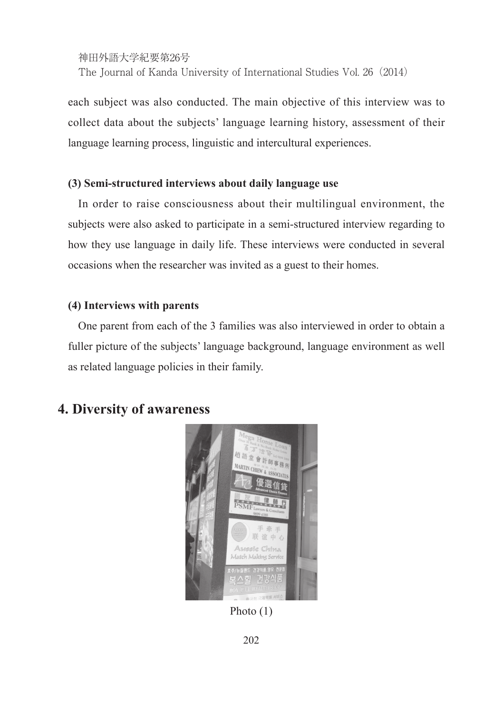each subject was also conducted. The main objective of this interview was to collect data about the subjects' language learning history, assessment of their language learning process, linguistic and intercultural experiences.

#### **(3) Semi-structured interviews about daily language use**

In order to raise consciousness about their multilingual environment, the subjects were also asked to participate in a semi-structured interview regarding to how they use language in daily life. These interviews were conducted in several occasions when the researcher was invited as a guest to their homes.

#### **(4) Interviews with parents**

One parent from each of the 3 families was also interviewed in order to obtain a fuller picture of the subjects' language background, language environment as well as related language policies in their family.

# **4. Diversity of awareness**



Photo (1)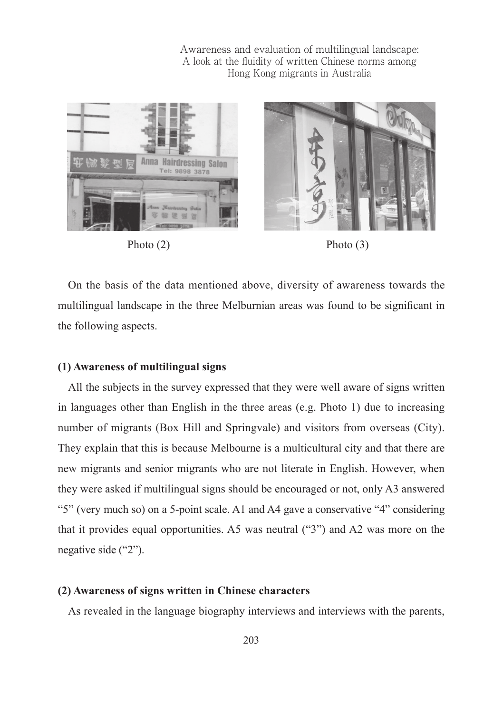



On the basis of the data mentioned above, diversity of awareness towards the multilingual landscape in the three Melburnian areas was found to be significant in the following aspects.

#### **(1) Awareness of multilingual signs**

All the subjects in the survey expressed that they were well aware of signs written in languages other than English in the three areas (e.g. Photo 1) due to increasing number of migrants (Box Hill and Springvale) and visitors from overseas (City). They explain that this is because Melbourne is a multicultural city and that there are new migrants and senior migrants who are not literate in English. However, when they were asked if multilingual signs should be encouraged or not, only A3 answered "5" (very much so) on a 5-point scale. A1 and A4 gave a conservative "4" considering that it provides equal opportunities. A5 was neutral ("3") and A2 was more on the negative side ("2").

#### **(2) Awareness of signs written in Chinese characters**

As revealed in the language biography interviews and interviews with the parents,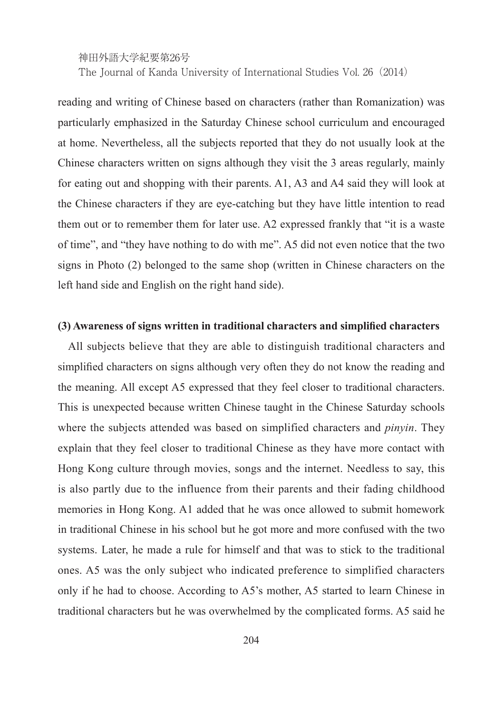reading and writing of Chinese based on characters (rather than Romanization) was particularly emphasized in the Saturday Chinese school curriculum and encouraged at home. Nevertheless, all the subjects reported that they do not usually look at the Chinese characters written on signs although they visit the 3 areas regularly, mainly for eating out and shopping with their parents. A1, A3 and A4 said they will look at the Chinese characters if they are eye-catching but they have little intention to read them out or to remember them for later use. A2 expressed frankly that "it is a waste of time", and "they have nothing to do with me". A5 did not even notice that the two signs in Photo (2) belonged to the same shop (written in Chinese characters on the left hand side and English on the right hand side).

#### **(3) Awareness of signs written in traditional characters and simplified characters**

All subjects believe that they are able to distinguish traditional characters and simplified characters on signs although very often they do not know the reading and the meaning. All except A5 expressed that they feel closer to traditional characters. This is unexpected because written Chinese taught in the Chinese Saturday schools where the subjects attended was based on simplified characters and *pinyin*. They explain that they feel closer to traditional Chinese as they have more contact with Hong Kong culture through movies, songs and the internet. Needless to say, this is also partly due to the influence from their parents and their fading childhood memories in Hong Kong. A1 added that he was once allowed to submit homework in traditional Chinese in his school but he got more and more confused with the two systems. Later, he made a rule for himself and that was to stick to the traditional ones. A5 was the only subject who indicated preference to simplified characters only if he had to choose. According to A5's mother, A5 started to learn Chinese in traditional characters but he was overwhelmed by the complicated forms. A5 said he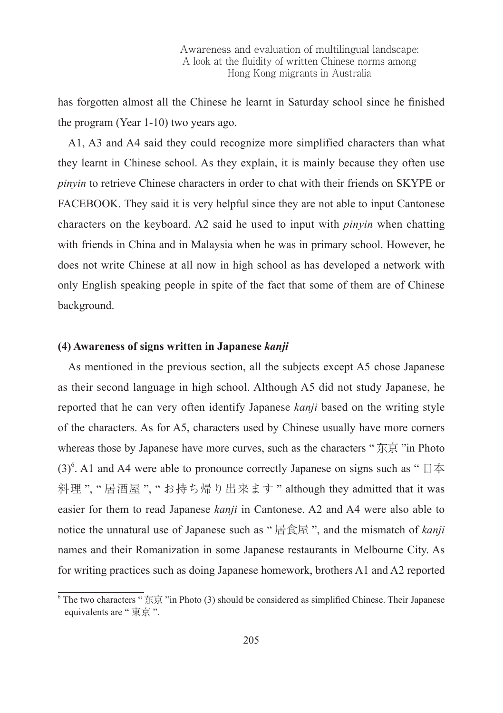has forgotten almost all the Chinese he learnt in Saturday school since he finished the program (Year 1-10) two years ago.

A1, A3 and A4 said they could recognize more simplified characters than what they learnt in Chinese school. As they explain, it is mainly because they often use *pinyin* to retrieve Chinese characters in order to chat with their friends on SKYPE or FACEBOOK. They said it is very helpful since they are not able to input Cantonese characters on the keyboard. A2 said he used to input with *pinyin* when chatting with friends in China and in Malaysia when he was in primary school. However, he does not write Chinese at all now in high school as has developed a network with only English speaking people in spite of the fact that some of them are of Chinese background.

#### **(4) Awareness of signs written in Japanese** *kanji*

As mentioned in the previous section, all the subjects except A5 chose Japanese as their second language in high school. Although A5 did not study Japanese, he reported that he can very often identify Japanese *kanji* based on the writing style of the characters. As for A5, characters used by Chinese usually have more corners whereas those by Japanese have more curves, such as the characters " 东京 "in Photo (3)<sup>6</sup>. A1 and A4 were able to pronounce correctly Japanese on signs such as "  $\boxplus \cancel{\pi}$ 料理 ", " 居酒屋 ", " お持ち帰り出来ます " although they admitted that it was easier for them to read Japanese *kanji* in Cantonese. A2 and A4 were also able to notice the unnatural use of Japanese such as " 居食屋 ", and the mismatch of *kanji* names and their Romanization in some Japanese restaurants in Melbourne City. As for writing practices such as doing Japanese homework, brothers A1 and A2 reported

 $6$  The two characters  $\sqrt{m} \cdot \vec{B}$   $\vec{B}$   $\vec{C}$  in Photo (3) should be considered as simplified Chinese. Their Japanese equivalents are " 東京 ".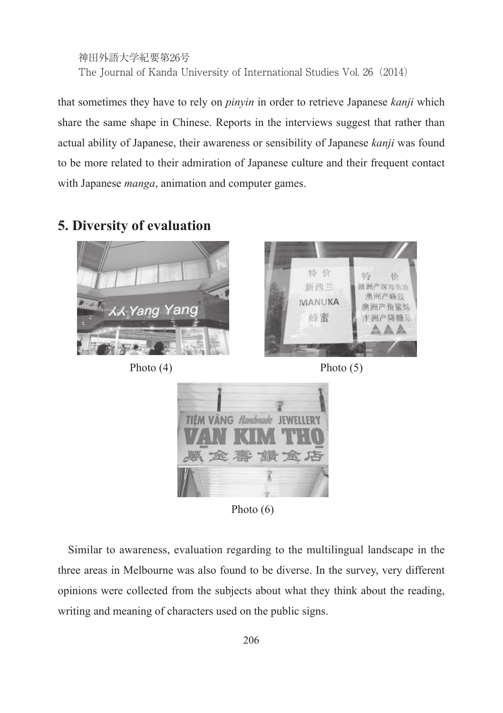```
神田外語大学紀要第26号
The Journal of Kanda University of International Studies Vol. 26(2014)
```
that sometimes they have to rely on *pinyin* in order to retrieve Japanese *kanji* which share the same shape in Chinese. Reports in the interviews suggest that rather than actual ability of Japanese, their awareness or sensibility of Japanese *kanji* was found to be more related to their admiration of Japanese culture and their frequent contact with Japanese *manga*, animation and computer games.

# **5. Diversity of evaluation**











Photo (6)

Similar to awareness, evaluation regarding to the multilingual landscape in the three areas in Melbourne was also found to be diverse. In the survey, very different opinions were collected from the subjects about what they think about the reading, writing and meaning of characters used on the public signs.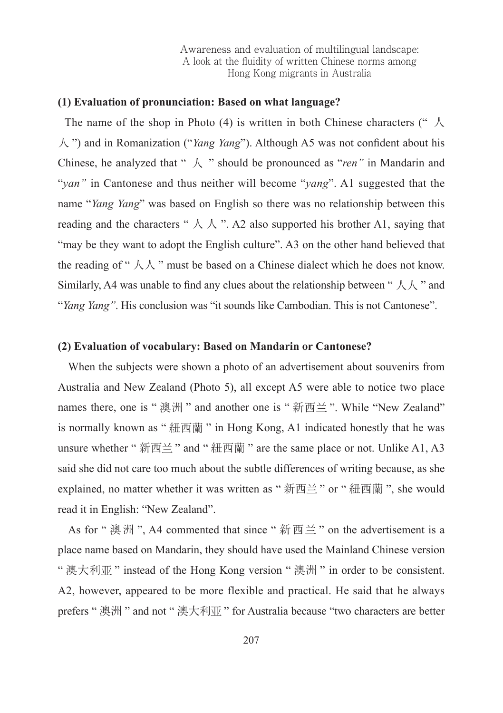#### **(1) Evaluation of pronunciation: Based on what language?**

The name of the shop in Photo (4) is written in both Chinese characters (" $\lambda$ 人 ") and in Romanization ("*Yang Yang*"). Although A5 was not confident about his Chinese, he analyzed that " 人 " should be pronounced as "*ren"* in Mandarin and "*yan"* in Cantonese and thus neither will become "*yang*". A1 suggested that the name "*Yang Yang*" was based on English so there was no relationship between this reading and the characters "  $\wedge$   $\wedge$  ". A also supported his brother A1, saying that "may be they want to adopt the English culture". A3 on the other hand believed that the reading of "  $\lambda \lambda$  " must be based on a Chinese dialect which he does not know. Similarly, A4 was unable to find any clues about the relationship between "  $\Lambda \Lambda$  " and "*Yang Yang"*. His conclusion was "it sounds like Cambodian. This is not Cantonese".

#### **(2) Evaluation of vocabulary: Based on Mandarin or Cantonese?**

When the subjects were shown a photo of an advertisement about souvenirs from Australia and New Zealand (Photo 5), all except A5 were able to notice two place names there, one is " 澳洲 " and another one is " 新西兰 ". While "New Zealand" is normally known as " 紐西蘭 " in Hong Kong, A1 indicated honestly that he was unsure whether "新西兰" and "紐西蘭" are the same place or not. Unlike A1, A3 said she did not care too much about the subtle differences of writing because, as she explained, no matter whether it was written as "新西兰" or "紐西蘭", she would read it in English: "New Zealand".

As for " 澳洲 ", A4 commented that since " 新西兰 " on the advertisement is a place name based on Mandarin, they should have used the Mainland Chinese version "澳大利亚" instead of the Hong Kong version "澳洲" in order to be consistent. A2, however, appeared to be more flexible and practical. He said that he always prefers " 澳洲 " and not " 澳大利亚 " for Australia because "two characters are better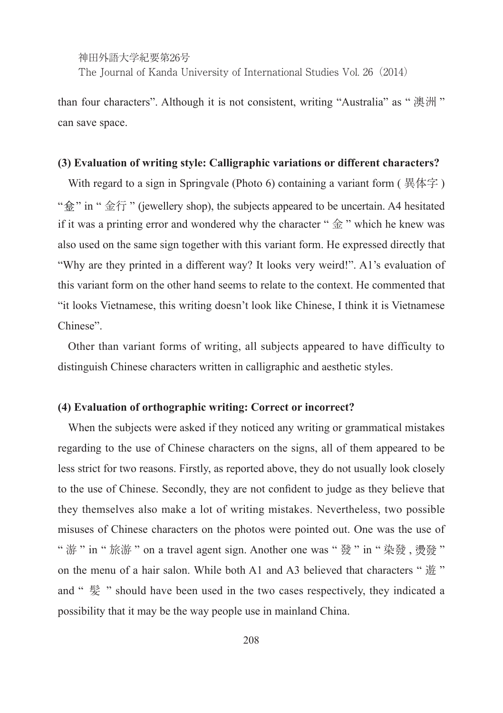神田外語大学紀要第26号

The Journal of Kanda University of International Studies Vol. 26(2014)

than four characters". Although it is not consistent, writing "Australia" as " 澳洲 " can save space.

#### **(3) Evaluation of writing style: Calligraphic variations or different characters?**

With regard to a sign in Springvale (Photo 6) containing a variant form  $( \n  $\n \n *g*(\n  $\n *g*(\n *g*(\n *g*)(\n *g*(\n *g*)(\n *g*(\n *g*)(\n *g*(\n *g*)(\n *g*(\n *g*)(\n *g*$$$ " $\Leftrightarrow$ " in " 金行 " (jewellery shop), the subjects appeared to be uncertain. A4 hesitated if it was a printing error and wondered why the character " $\triangleq$ " which he knew was also used on the same sign together with this variant form. He expressed directly that "Why are they printed in a different way? It looks very weird!". A1's evaluation of this variant form on the other hand seems to relate to the context. He commented that "it looks Vietnamese, this writing doesn't look like Chinese, I think it is Vietnamese Chinese".

Other than variant forms of writing, all subjects appeared to have difficulty to distinguish Chinese characters written in calligraphic and aesthetic styles.

#### **(4) Evaluation of orthographic writing: Correct or incorrect?**

When the subjects were asked if they noticed any writing or grammatical mistakes regarding to the use of Chinese characters on the signs, all of them appeared to be less strict for two reasons. Firstly, as reported above, they do not usually look closely to the use of Chinese. Secondly, they are not confident to judge as they believe that they themselves also make a lot of writing mistakes. Nevertheless, two possible misuses of Chinese characters on the photos were pointed out. One was the use of " 游 " in " 旅游 " on a travel agent sign. Another one was " 發 " in " 染發 , 發 " on the menu of a hair salon. While both A1 and A3 believed that characters " 遊 " and " 髪 " should have been used in the two cases respectively, they indicated a possibility that it may be the way people use in mainland China.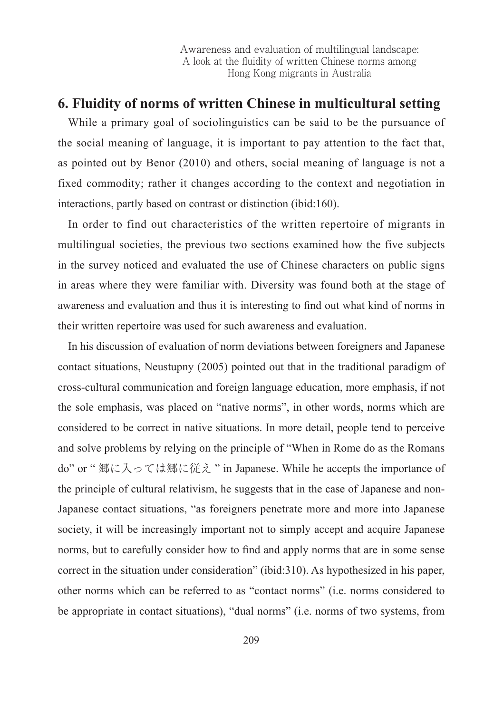### **6. Fluidity of norms of written Chinese in multicultural setting**

While a primary goal of sociolinguistics can be said to be the pursuance of the social meaning of language, it is important to pay attention to the fact that, as pointed out by Benor (2010) and others, social meaning of language is not a fixed commodity; rather it changes according to the context and negotiation in interactions, partly based on contrast or distinction (ibid:160).

In order to find out characteristics of the written repertoire of migrants in multilingual societies, the previous two sections examined how the five subjects in the survey noticed and evaluated the use of Chinese characters on public signs in areas where they were familiar with. Diversity was found both at the stage of awareness and evaluation and thus it is interesting to find out what kind of norms in their written repertoire was used for such awareness and evaluation.

In his discussion of evaluation of norm deviations between foreigners and Japanese contact situations, Neustupny (2005) pointed out that in the traditional paradigm of cross-cultural communication and foreign language education, more emphasis, if not the sole emphasis, was placed on "native norms", in other words, norms which are considered to be correct in native situations. In more detail, people tend to perceive and solve problems by relying on the principle of "When in Rome do as the Romans do" or " 郷に入っては郷に従え " in Japanese. While he accepts the importance of the principle of cultural relativism, he suggests that in the case of Japanese and non-Japanese contact situations, "as foreigners penetrate more and more into Japanese society, it will be increasingly important not to simply accept and acquire Japanese norms, but to carefully consider how to find and apply norms that are in some sense correct in the situation under consideration" (ibid:310). As hypothesized in his paper, other norms which can be referred to as "contact norms" (i.e. norms considered to be appropriate in contact situations), "dual norms" (i.e. norms of two systems, from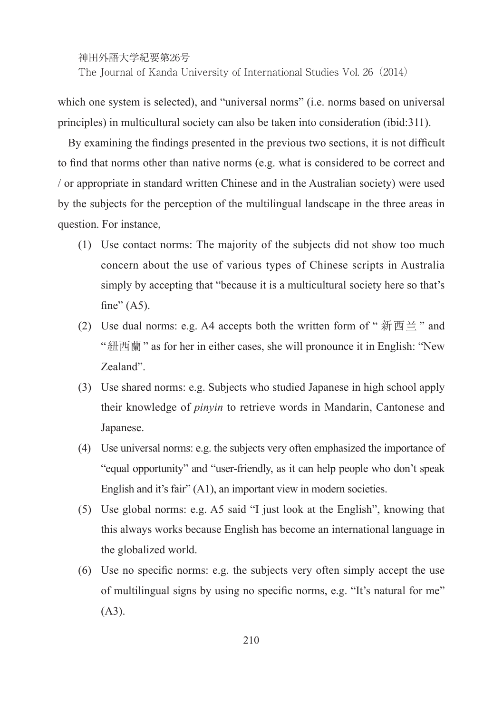which one system is selected), and "universal norms" (i.e. norms based on universal principles) in multicultural society can also be taken into consideration (ibid:311).

By examining the findings presented in the previous two sections, it is not difficult to find that norms other than native norms (e.g. what is considered to be correct and / or appropriate in standard written Chinese and in the Australian society) were used by the subjects for the perception of the multilingual landscape in the three areas in question. For instance,

- (1) Use contact norms: The majority of the subjects did not show too much concern about the use of various types of Chinese scripts in Australia simply by accepting that "because it is a multicultural society here so that's fine"  $(45)$ .
- (2) Use dual norms: e.g. A4 accepts both the written form of " $\frac{2}{3}$   $\frac{1}{10}$   $\frac{1}{2}$ " and "紐西蘭" as for her in either cases, she will pronounce it in English: "New Zealand".
- (3) Use shared norms: e.g. Subjects who studied Japanese in high school apply their knowledge of *pinyin* to retrieve words in Mandarin, Cantonese and Japanese.
- (4) Use universal norms: e.g. the subjects very often emphasized the importance of "equal opportunity" and "user-friendly, as it can help people who don't speak English and it's fair" (A1), an important view in modern societies.
- (5) Use global norms: e.g. A5 said "I just look at the English", knowing that this always works because English has become an international language in the globalized world.
- (6) Use no specific norms: e.g. the subjects very often simply accept the use of multilingual signs by using no specific norms, e.g. "It's natural for me" (A3).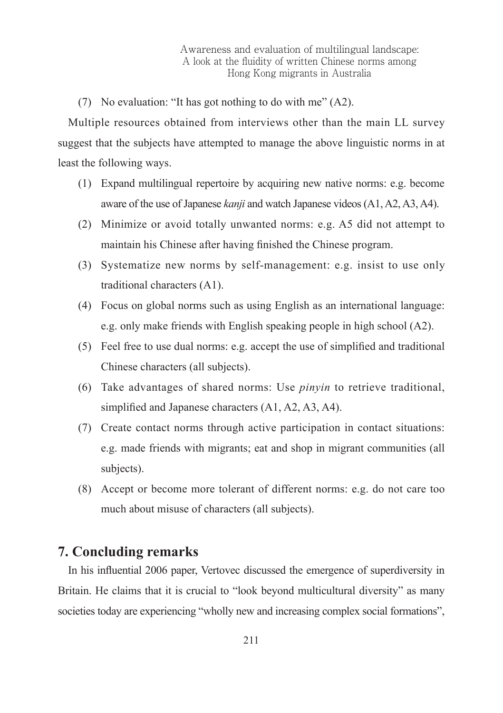(7) No evaluation: "It has got nothing to do with me" (A2).

Multiple resources obtained from interviews other than the main LL survey suggest that the subjects have attempted to manage the above linguistic norms in at least the following ways.

- (1) Expand multilingual repertoire by acquiring new native norms: e.g. become aware of the use of Japanese *kanji* and watch Japanese videos (A1, A2, A3, A4).
- (2) Minimize or avoid totally unwanted norms: e.g. A5 did not attempt to maintain his Chinese after having finished the Chinese program.
- (3) Systematize new norms by self-management: e.g. insist to use only traditional characters (A1).
- (4) Focus on global norms such as using English as an international language: e.g. only make friends with English speaking people in high school (A2).
- (5) Feel free to use dual norms: e.g. accept the use of simplified and traditional Chinese characters (all subjects).
- (6) Take advantages of shared norms: Use *pinyin* to retrieve traditional, simplified and Japanese characters (A1, A2, A3, A4).
- (7) Create contact norms through active participation in contact situations: e.g. made friends with migrants; eat and shop in migrant communities (all subjects).
- (8) Accept or become more tolerant of different norms: e.g. do not care too much about misuse of characters (all subjects).

### **7. Concluding remarks**

In his influential 2006 paper, Vertovec discussed the emergence of superdiversity in Britain. He claims that it is crucial to "look beyond multicultural diversity" as many societies today are experiencing "wholly new and increasing complex social formations",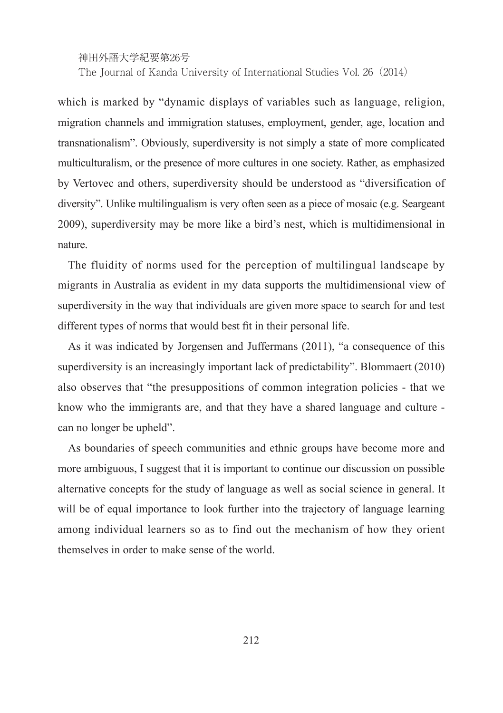神田外語大学紀要第26号

The Journal of Kanda University of International Studies Vol. 26(2014)

which is marked by "dynamic displays of variables such as language, religion, migration channels and immigration statuses, employment, gender, age, location and transnationalism". Obviously, superdiversity is not simply a state of more complicated multiculturalism, or the presence of more cultures in one society. Rather, as emphasized by Vertovec and others, superdiversity should be understood as "diversification of diversity". Unlike multilingualism is very often seen as a piece of mosaic (e.g. Seargeant 2009), superdiversity may be more like a bird's nest, which is multidimensional in nature.

The fluidity of norms used for the perception of multilingual landscape by migrants in Australia as evident in my data supports the multidimensional view of superdiversity in the way that individuals are given more space to search for and test different types of norms that would best fit in their personal life.

As it was indicated by Jorgensen and Juffermans (2011), "a consequence of this superdiversity is an increasingly important lack of predictability". Blommaert (2010) also observes that "the presuppositions of common integration policies - that we know who the immigrants are, and that they have a shared language and culture can no longer be upheld".

As boundaries of speech communities and ethnic groups have become more and more ambiguous, I suggest that it is important to continue our discussion on possible alternative concepts for the study of language as well as social science in general. It will be of equal importance to look further into the trajectory of language learning among individual learners so as to find out the mechanism of how they orient themselves in order to make sense of the world.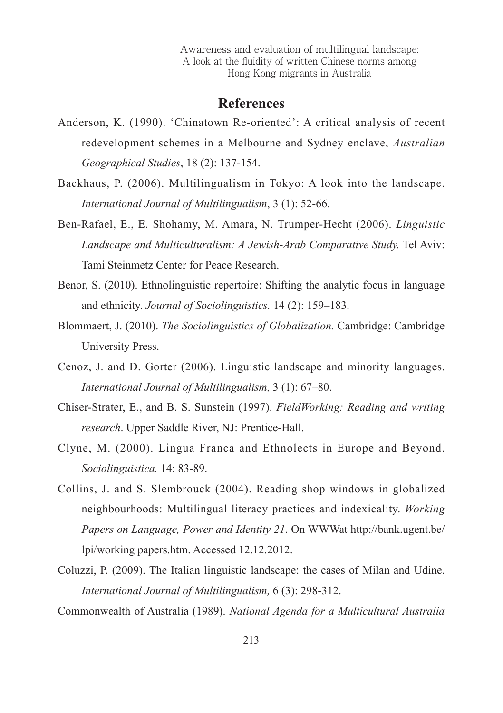### **References**

- Anderson, K. (1990). 'Chinatown Re-oriented': A critical analysis of recent redevelopment schemes in a Melbourne and Sydney enclave, *Australian Geographical Studies*, 18 (2): 137-154.
- Backhaus, P. (2006). Multilingualism in Tokyo: A look into the landscape. *International Journal of Multilingualism*, 3 (1): 52-66.
- Ben-Rafael, E., E. Shohamy, M. Amara, N. Trumper-Hecht (2006). *Linguistic Landscape and Multiculturalism: A Jewish-Arab Comparative Study.* Tel Aviv: Tami Steinmetz Center for Peace Research.
- Benor, S. (2010). Ethnolinguistic repertoire: Shifting the analytic focus in language and ethnicity. *Journal of Sociolinguistics.* 14 (2): 159–183.
- Blommaert, J. (2010). *The Sociolinguistics of Globalization.* Cambridge: Cambridge University Press.
- Cenoz, J. and D. Gorter (2006). Linguistic landscape and minority languages. *International Journal of Multilingualism,* 3 (1): 67–80.
- Chiser-Strater, E., and B. S. Sunstein (1997). *FieldWorking: Reading and writing research*. Upper Saddle River, NJ: Prentice-Hall.
- Clyne, M. (2000). Lingua Franca and Ethnolects in Europe and Beyond. *Sociolinguistica.* 14: 83-89.
- Collins, J. and S. Slembrouck (2004). Reading shop windows in globalized neighbourhoods: Multilingual literacy practices and indexicality. *Working Papers on Language, Power and Identity 21*. On WWWat http://bank.ugent.be/ lpi/working papers.htm. Accessed 12.12.2012.
- Coluzzi, P. (2009). The Italian linguistic landscape: the cases of Milan and Udine. *International Journal of Multilingualism,* 6 (3): 298-312.

Commonwealth of Australia (1989). *National Agenda for a Multicultural Australia*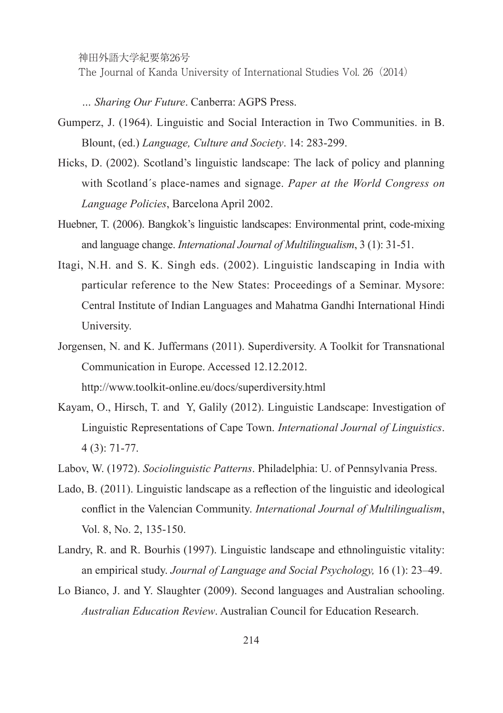神田外語大学紀要第26号

The Journal of Kanda University of International Studies Vol. 26(2014)

*… Sharing Our Future*. Canberra: AGPS Press.

- Gumperz, J. (1964). Linguistic and Social Interaction in Two Communities. in B. Blount, (ed.) *Language, Culture and Society*. 14: 283-299.
- Hicks, D. (2002). Scotland's linguistic landscape: The lack of policy and planning with Scotland´s place-names and signage. *Paper at the World Congress on Language Policies*, Barcelona April 2002.
- Huebner, T. (2006). Bangkok's linguistic landscapes: Environmental print, code-mixing and language change. *International Journal of Multilingualism*, 3 (1): 31-51.
- Itagi, N.H. and S. K. Singh eds. (2002). Linguistic landscaping in India with particular reference to the New States: Proceedings of a Seminar. Mysore: Central Institute of Indian Languages and Mahatma Gandhi International Hindi University.
- Jorgensen, N. and K. Juffermans (2011). Superdiversity. A Toolkit for Transnational Communication in Europe. Accessed 12.12.2012. http://www.toolkit-online.eu/docs/superdiversity.html
- Kayam, O., Hirsch, T. and Y, Galily (2012). Linguistic Landscape: Investigation of Linguistic Representations of Cape Town. *International Journal of Linguistics*. 4 (3): 71-77.
- Labov, W. (1972). *Sociolinguistic Patterns*. Philadelphia: U. of Pennsylvania Press.
- Lado, B. (2011). Linguistic landscape as a reflection of the linguistic and ideological conflict in the Valencian Community. *International Journal of Multilingualism*, Vol. 8, No. 2, 135-150.
- Landry, R. and R. Bourhis (1997). Linguistic landscape and ethnolinguistic vitality: an empirical study. *Journal of Language and Social Psychology,* 16 (1): 23–49.
- Lo Bianco, J. and Y. Slaughter (2009). Second languages and Australian schooling. *Australian Education Review*. Australian Council for Education Research.